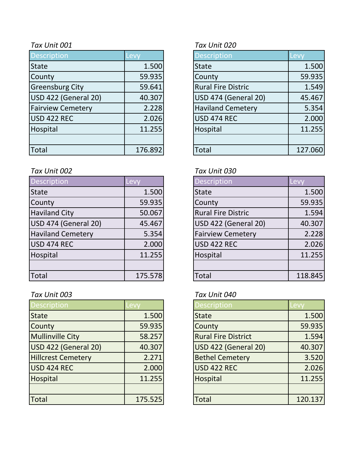| <b>Description</b>       | Levy    | <b>Description</b>        | Levy    |
|--------------------------|---------|---------------------------|---------|
| <b>State</b>             | 1.500   | <b>State</b>              | 1.500   |
| County                   | 59.935  | County                    | 59.935  |
| <b>Greensburg City</b>   | 59.641  | <b>Rural Fire Distric</b> | 1.549   |
| USD 422 (General 20)     | 40.307  | USD 474 (General 20)      | 45.467  |
| <b>Fairview Cemetery</b> | 2.228   | <b>Haviland Cemetery</b>  | 5.354   |
| USD 422 REC              | 2.026   | USD 474 REC               | 2.000   |
| Hospital                 | 11.255  | Hospital                  | 11.255  |
|                          |         |                           |         |
| Total                    | 176.892 | <b>Total</b>              | 127.060 |

### *Tax Unit 002 Tax Unit 030*

| <b>Description</b>       | Levy    | <b>Description</b>        | Levy    |
|--------------------------|---------|---------------------------|---------|
| <b>State</b>             | 1.500   | <b>State</b>              | 1.500   |
| County                   | 59.935  | County                    | 59.935  |
| <b>Haviland City</b>     | 50.067  | <b>Rural Fire Distric</b> | 1.594   |
| USD 474 (General 20)     | 45.467  | USD 422 (General 20)      | 40.307  |
| <b>Haviland Cemetery</b> | 5.354   | <b>Fairview Cemetery</b>  | 2.228   |
| USD 474 REC              | 2.000   | USD 422 REC               | 2.026   |
| Hospital                 | 11.255  | Hospital                  | 11.255  |
|                          |         |                           |         |
| <b>Total</b>             | 175.578 | Total                     | 118.845 |

## *Tax Unit 003 Tax Unit 040*

| <b>Description</b>        | Levv    | <b>Description</b>         | Levv    |
|---------------------------|---------|----------------------------|---------|
| <b>State</b>              | 1.500   | <b>State</b>               | 1.500   |
| County                    | 59.935  | County                     | 59.935  |
| <b>Mullinville City</b>   | 58.257  | <b>Rural Fire District</b> | 1.594   |
| USD 422 (General 20)      | 40.307  | USD 422 (General 20)       | 40.307  |
| <b>Hillcrest Cemetery</b> | 2.271   | <b>Bethel Cemetery</b>     | 3.520   |
| USD 424 REC               | 2.000   | <b>USD 422 REC</b>         | 2.026   |
| Hospital                  | 11.255  | Hospital                   | 11.255  |
|                           |         |                            |         |
| Total                     | 175.525 | <b>Total</b>               | 120.137 |

### *Tax Unit 001 Tax Unit 020*

| <b>Description</b>          | Lev     |
|-----------------------------|---------|
| <b>State</b>                | 1.500   |
| County                      | 59.935  |
| <b>Rural Fire Distric</b>   | 1.549   |
| <b>USD 474 (General 20)</b> | 45.467  |
| <b>Haviland Cemetery</b>    | 5.354   |
| <b>USD 474 REC</b>          | 2.000   |
| Hospital                    | 11.255  |
|                             |         |
| Total                       | 127.060 |

| <b>Description</b>        | Lev     |
|---------------------------|---------|
| <b>State</b>              | 1.500   |
| County                    | 59.935  |
| <b>Rural Fire Distric</b> | 1.594   |
| USD 422 (General 20)      | 40.307  |
| <b>Fairview Cemetery</b>  | 2.228   |
| USD 422 REC               | 2.026   |
| Hospital                  | 11.255  |
|                           |         |
| Total                     | 118.845 |

| <b>Description</b>         | Levv    |
|----------------------------|---------|
| <b>State</b>               | 1.500   |
| County                     | 59.935  |
| <b>Rural Fire District</b> | 1.594   |
| USD 422 (General 20)       | 40.307  |
| <b>Bethel Cemetery</b>     | 3.520   |
| USD 422 REC                | 2.026   |
| Hospital                   | 11.255  |
|                            |         |
| Total                      | 120.137 |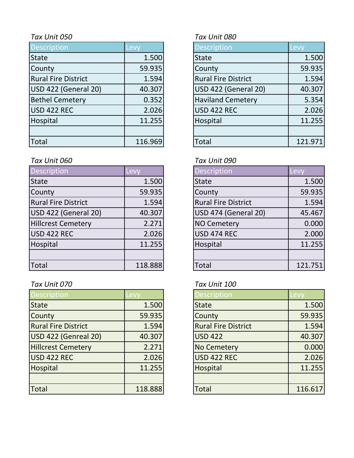| <b>Description</b>         | Levy    | <b>Description</b>         | Levy    |
|----------------------------|---------|----------------------------|---------|
| <b>State</b>               | 1.500   | <b>State</b>               | 1.500   |
| County                     | 59.935  | County                     | 59.935  |
| <b>Rural Fire District</b> | 1.594   | <b>Rural Fire District</b> | 1.594   |
| USD 422 (General 20)       | 40.307  | USD 422 (General 20)       | 40.307  |
| <b>Bethel Cemetery</b>     | 0.352   | <b>Haviland Cemetery</b>   | 5.354   |
| USD 422 REC                | 2.026   | <b>USD 422 REC</b>         | 2.026   |
| Hospital                   | 11.255  | Hospital                   | 11.255  |
|                            |         |                            |         |
| Total                      | 116.969 | <b>Total</b>               | 121.971 |

## *Tax Unit 060 Tax Unit 090*

| Description                | Levy    | <b>Description</b>          | Levy    |
|----------------------------|---------|-----------------------------|---------|
| <b>State</b>               | 1.500   | <b>State</b>                | 1.500   |
| County                     | 59.935  | County                      | 59.935  |
| <b>Rural Fire District</b> | 1.594   | <b>Rural Fire District</b>  | 1.594   |
| USD 422 (General 20)       | 40.307  | <b>USD 474 (General 20)</b> | 45.467  |
| <b>Hillcrest Cemetery</b>  | 2.271   | <b>NO Cemetery</b>          | 0.000   |
| USD 422 REC                | 2.026   | <b>USD 474 REC</b>          | 2.000   |
| Hospital                   | 11.255  | Hospital                    | 11.255  |
|                            |         |                             |         |
| Total                      | 118.888 | <b>Total</b>                | 121.751 |

## *Tax Unit 070 Tax Unit 100*

| <b>Description</b>         | .evy    | <b>Description</b>         | Levy    |
|----------------------------|---------|----------------------------|---------|
| <b>State</b>               | 1.500   | <b>State</b>               | 1.500   |
| County                     | 59.935  | County                     | 59.935  |
| <b>Rural Fire District</b> | 1.594   | <b>Rural Fire District</b> | 1.594   |
| USD 422 (Genreal 20)       | 40.307  | <b>USD 422</b>             | 40.307  |
| <b>Hillcrest Cemetery</b>  | 2.271   | <b>No Cemetery</b>         | 0.000   |
| USD 422 REC                | 2.026   | <b>USD 422 REC</b>         | 2.026   |
| Hospital                   | 11.255  | Hospital                   | 11.255  |
|                            |         |                            |         |
| <b>Total</b>               | 118.888 | <b>Total</b>               | 116.617 |

## *Tax Unit 050 Tax Unit 080*

| <b>Description</b>          | Levy    |
|-----------------------------|---------|
| <b>State</b>                | 1.500   |
| County                      | 59.935  |
| <b>Rural Fire District</b>  | 1.594   |
| <b>USD 422 (General 20)</b> | 40.307  |
| <b>Haviland Cemetery</b>    | 5.354   |
| <b>USD 422 REC</b>          | 2.026   |
| Hospital                    | 11.255  |
|                             |         |
| otal.                       | 121.971 |

| <b>Description</b>          | <b>Levy</b> |
|-----------------------------|-------------|
| <b>State</b>                | 1.500       |
| County                      | 59.935      |
| <b>Rural Fire District</b>  | 1.594       |
| <b>USD 474 (General 20)</b> | 45.467      |
| <b>NO Cemetery</b>          | 0.000       |
| <b>USD 474 REC</b>          | 2.000       |
| Hospital                    | 11.255      |
|                             |             |
| `otal                       | 121.751     |

| <b>Description</b>         | Levv    |
|----------------------------|---------|
| <b>State</b>               | 1.500   |
| <b>County</b>              | 59.935  |
| <b>Rural Fire District</b> | 1.594   |
| <b>USD 422</b>             | 40.307  |
| <b>No Cemetery</b>         | 0.000   |
| USD 422 REC                | 2.026   |
| Hospital                   | 11.255  |
|                            |         |
| <b>Total</b>               | 116.617 |